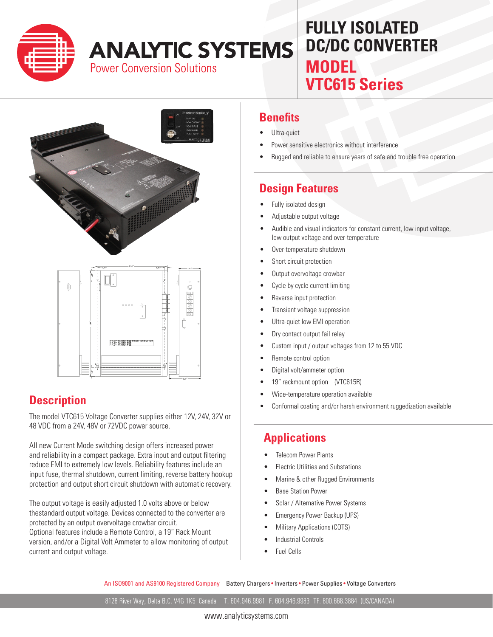

# **ANALYTIC SYSTEMS**

**Power Conversion Solutions** 

## **MODEL VTC615 Series FULLY ISOLATED DC/DC CONVERTER**





#### **Description**

The model VTC615 Voltage Converter supplies either 12V, 24V, 32V or 48 VDC from a 24V, 48V or 72VDC power source.

All new Current Mode switching design offers increased power and reliability in a compact package. Extra input and output filtering reduce EMI to extremely low levels. Reliability features include an input fuse, thermal shutdown, current limiting, reverse battery hookup protection and output short circuit shutdown with automatic recovery.

The output voltage is easily adjusted 1.0 volts above or below thestandard output voltage. Devices connected to the converter are protected by an output overvoltage crowbar circuit.

Optional features include a Remote Control, a 19" Rack Mount version, and/or a Digital Volt Ammeter to allow monitoring of output current and output voltage.

#### **Benefits**

- Ultra-quiet
- Power sensitive electronics without interference
- Rugged and reliable to ensure years of safe and trouble free operation

#### **Design Features**

- Fully isolated design
- Adjustable output voltage
- Audible and visual indicators for constant current, low input voltage, low output voltage and over-temperature
- Over-temperature shutdown
- Short circuit protection
- Output overvoltage crowbar
- Cycle by cycle current limiting
- Reverse input protection
- Transient voltage suppression
- Ultra-quiet low EMI operation
- Dry contact output fail relay
- Custom input / output voltages from 12 to 55 VDC
- Remote control option
- Digital volt/ammeter option
- 19" rackmount option (VTC615R)
- Wide-temperature operation available
- Conformal coating and/or harsh environment ruggedization available

#### **Applications**

- Telecom Power Plants
- Electric Utilities and Substations
- Marine & other Rugged Environments
- Base Station Power
- Solar / Alternative Power Systems
- Emergency Power Backup (UPS)
- Military Applications (COTS)
- Industrial Controls
- Fuel Cells

An ISO9001 and AS9100 Registered Company Battery Chargers • Inverters • Power Supplies • Voltage Converters